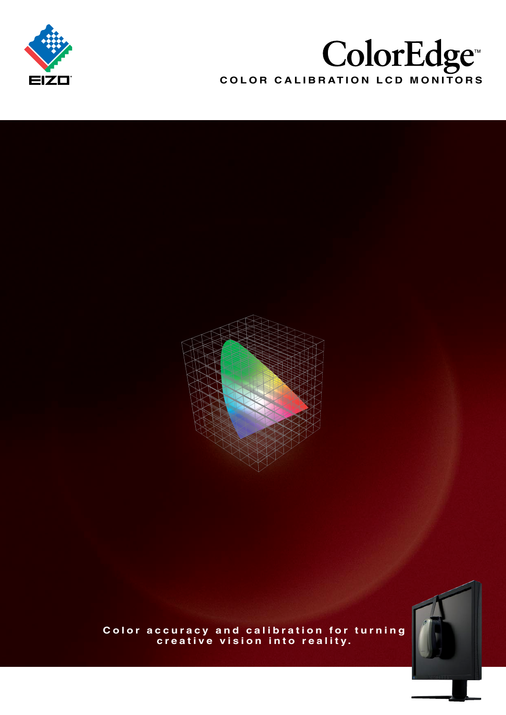

# **COLOR CALIBRATION LCD MONITORS**





**Color accuracy and calibration for turning creative vision into reality.**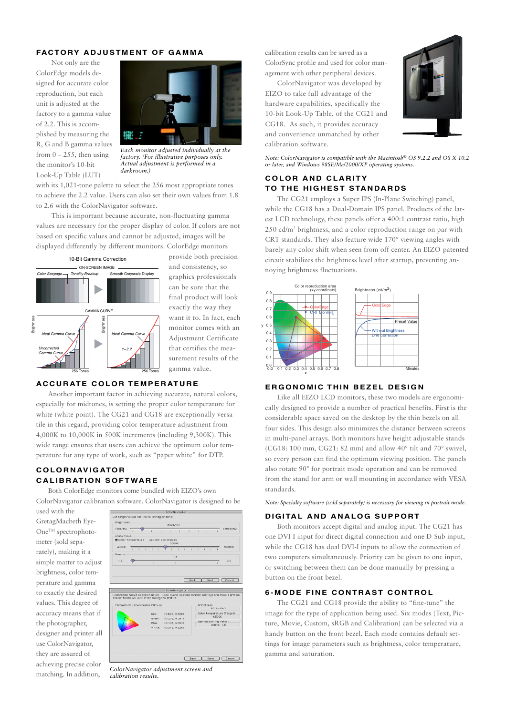## **FACTORY ADJUSTMENT OF GAMMA**

Not only are the ColorEdge models designed for accurate color reproduction, but each unit is adjusted at the factory to a gamma value of 2.2. This is accomplished by measuring the R, G and B gamma values from  $0 - 255$ , then using the monitor's 10-bit Look-Up Table (LUT)



*Each monitor adjusted individually at the factory. (For illustrative purposes only. Actual adjustment is performed in a darkroom.)*

with its 1,021-tone palette to select the 256 most appropriate tones to achieve the 2.2 value. Users can also set their own values from 1.8 to 2.6 with the ColorNavigator software.

This is important because accurate, non-fluctuating gamma values are necessary for the proper display of color. If colors are not based on specific values and cannot be adjusted, images will be displayed differently by different monitors. ColorEdge monitors



provide both precision and consistency, so graphics professionals can be sure that the final product will look exactly the way they want it to. In fact, each monitor comes with an Adjustment Certificate that certifies the measurement results of the gamma value.

#### **ACCURATE COLOR TEMPERATURE**

Another important factor in achieving accurate, natural colors, especially for midtones, is setting the proper color temperature for white (white point). The CG21 and CG18 are exceptionally versatile in this regard, providing color temperature adjustment from 4,000K to 10,000K in 500K increments (including 9,300K). This wide range ensures that users can achieve the optimum color temperature for any type of work, such as "paper white" for DTP.

## **COLORNAVIGATOR CALIBRATION SOFTWARE**

Both ColorEdge monitors come bundled with EIZO's own ColorNavigator calibration software. ColorNavigator is designed to be

used with the GretagMacbeth Eye-One<sup>™</sup> spectrophotometer (sold separately), making it a simple matter to adjust brightness, color temperature and gamma to exactly the desired values. This degree of accuracy means that if the photographer, designer and printer all use ColorNavigator, they are assured of achieving precise color matching. In addition,



*ColorNavigator adjustment screen and calibration results.*

calibration results can be saved as a ColorSync profile and used for color management with other peripheral devices.

ColorNavigator was developed by EIZO to take full advantage of the hardware capabilities, specifically the 10-bit Look-Up Table, of the CG21 and CG18. As such, it provides accuracy and convenience unmatched by other calibration software.



*Note: ColorNavigator is compatible with the Macintosh® OS 9.2.2 and OS X 10.2 or later, and Windows 98SE/Me/2000/XP operating systems.*

### **COLOR AND CLARITY TO THE HIGHEST STANDARDS**

The CG21 employs a Super IPS (In-Plane Switching) panel, while the CG18 has a Dual-Domain IPS panel. Products of the latest LCD technology, these panels offer a 400:1 contrast ratio, high 250 cd/m2 brightness, and a color reproduction range on par with CRT standards. They also feature wide 170° viewing angles with barely any color shift when seen from off-center. An EIZO-patented circuit stabilizes the brightness level after startup, preventing annoying brightness fluctuations.



## **ERGONOMIC THIN BEZEL DESIGN**

Like all EIZO LCD monitors, these two models are ergonomically designed to provide a number of practical benefits. First is the considerable space saved on the desktop by the thin bezels on all four sides. This design also minimizes the distance between screens in multi-panel arrays. Both monitors have height adjustable stands (CG18: 100 mm, CG21: 82 mm) and allow 40° tilt and 70° swivel, so every person can find the optimum viewing position. The panels also rotate 90° for portrait mode operation and can be removed from the stand for arm or wall mounting in accordance with VESA standards.

*Note: Specialty software (sold separately) is necessary for viewing in portrait mode.*

#### **DIGITAL AND ANALOG SUPPORT**

Both monitors accept digital and analog input. The CG21 has one DVI-I input for direct digital connection and one D-Sub input, while the CG18 has dual DVI-I inputs to allow the connection of two computers simultaneously. Priority can be given to one input, or switching between them can be done manually by pressing a button on the front bezel.

## **6-MODE FINE CONTRAST CONTROL**

The CG21 and CG18 provide the ability to "fine-tune" the image for the type of application being used. Six modes (Text, Picture, Movie, Custom, sRGB and Calibration) can be selected via a handy button on the front bezel. Each mode contains default settings for image parameters such as brightness, color temperature, gamma and saturation.